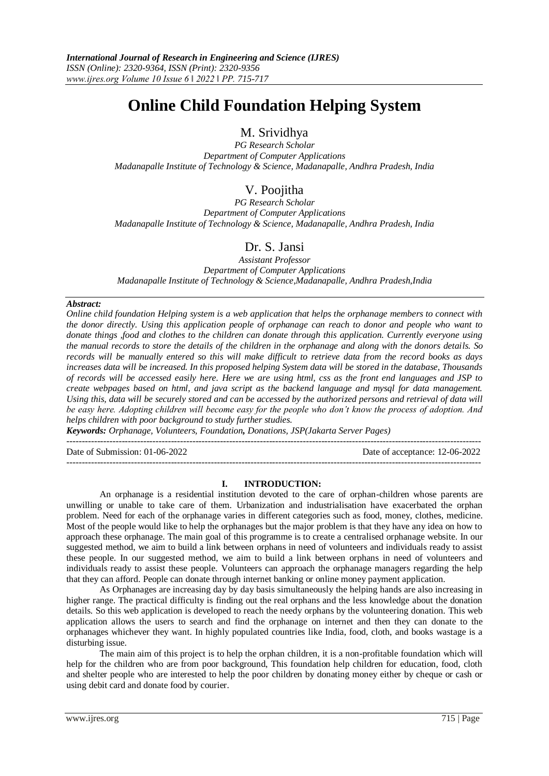# **Online Child Foundation Helping System**

M. Srividhya

*PG Research Scholar Department of Computer Applications Madanapalle Institute of Technology & Science, Madanapalle, Andhra Pradesh, India*

# V. Poojitha

*PG Research Scholar Department of Computer Applications Madanapalle Institute of Technology & Science, Madanapalle, Andhra Pradesh, India*

# Dr. S. Jansi

*Assistant Professor Department of Computer Applications Madanapalle Institute of Technology & Science,Madanapalle, Andhra Pradesh,India*

# *Abstract:*

*Online child foundation Helping system is a web application that helps the orphanage members to connect with the donor directly. Using this application people of orphanage can reach to donor and people who want to donate things ,food and clothes to the children can donate through this application. Currently everyone using the manual records to store the details of the children in the orphanage and along with the donors details. So records will be manually entered so this will make difficult to retrieve data from the record books as days increases data will be increased. In this proposed helping System data will be stored in the database, Thousands of records will be accessed easily here. Here we are using html, css as the front end languages and JSP to create webpages based on html, and java script as the backend language and mysql for data management.*  Using this, data will be securely stored and can be accessed by the authorized persons and retrieval of data will *be easy here. Adopting children will become easy for the people who don't know the process of adoption. And helps children with poor background to study further studies.*

*Keywords: Orphanage, Volunteers, Foundation, Donations, JSP(Jakarta Server Pages)*

--------------------------------------------------------------------------------------------------------------------------------------- Date of Submission: 01-06-2022 Date of acceptance: 12-06-2022

# **I. INTRODUCTION:**

---------------------------------------------------------------------------------------------------------------------------------------

An orphanage is a residential institution devoted to the care of orphan-children whose parents are unwilling or unable to take care of them. Urbanization and industrialisation have exacerbated the orphan problem. Need for each of the orphanage varies in different categories such as food, money, clothes, medicine. Most of the people would like to help the orphanages but the major problem is that they have any idea on how to approach these orphanage. The main goal of this programme is to create a centralised orphanage website. In our suggested method, we aim to build a link between orphans in need of volunteers and individuals ready to assist these people. In our suggested method, we aim to build a link between orphans in need of volunteers and individuals ready to assist these people. Volunteers can approach the orphanage managers regarding the help that they can afford. People can donate through internet banking or online money payment application.

As Orphanages are increasing day by day basis simultaneously the helping hands are also increasing in higher range. The practical difficulty is finding out the real orphans and the less knowledge about the donation details. So this web application is developed to reach the needy orphans by the volunteering donation. This web application allows the users to search and find the orphanage on internet and then they can donate to the orphanages whichever they want. In highly populated countries like India, food, cloth, and books wastage is a disturbing issue.

The main aim of this project is to help the orphan children, it is a non-profitable foundation which will help for the children who are from poor background, This foundation help children for education, food, cloth and shelter people who are interested to help the poor children by donating money either by cheque or cash or using debit card and donate food by courier.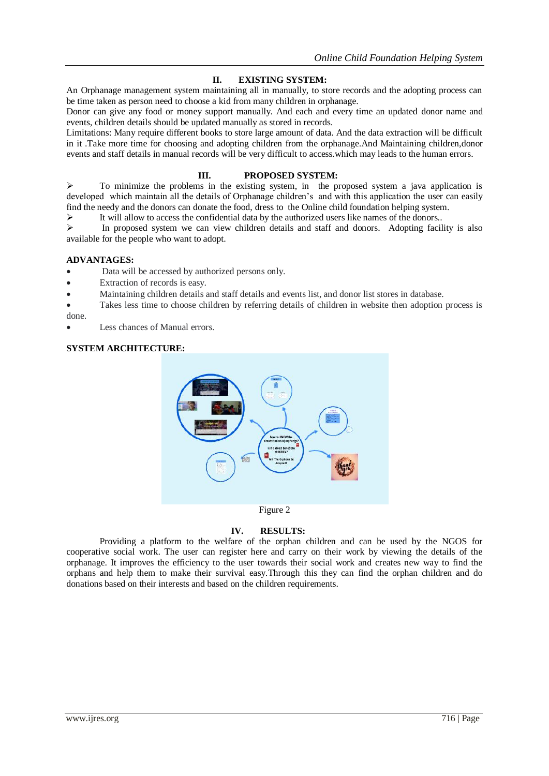# **II. EXISTING SYSTEM:**

An Orphanage management system maintaining all in manually, to store records and the adopting process can be time taken as person need to choose a kid from many children in orphanage.

Donor can give any food or money support manually. And each and every time an updated donor name and events, children details should be updated manually as stored in records.

Limitations: Many require different books to store large amount of data. And the data extraction will be difficult in it .Take more time for choosing and adopting children from the orphanage.And Maintaining children,donor events and staff details in manual records will be very difficult to access.which may leads to the human errors.

# **III. PROPOSED SYSTEM:**

 To minimize the problems in the existing system, in the proposed system a java application is developed which maintain all the details of Orphanage children's and with this application the user can easily find the needy and the donors can donate the food, dress to the Online child foundation helping system.

It will allow to access the confidential data by the authorized users like names of the donors..

 In proposed system we can view children details and staff and donors. Adopting facility is also available for the people who want to adopt.

# **ADVANTAGES:**

Data will be accessed by authorized persons only.

- Extraction of records is easy.
- Maintaining children details and staff details and events list, and donor list stores in database.
- Takes less time to choose children by referring details of children in website then adoption process is done.
- Less chances of Manual errors.

# **SYSTEM ARCHITECTURE:**



# **IV. RESULTS:**

Providing a platform to the welfare of the orphan children and can be used by the NGOS for cooperative social work. The user can register here and carry on their work by viewing the details of the orphanage. It improves the efficiency to the user towards their social work and creates new way to find the orphans and help them to make their survival easy.Through this they can find the orphan children and do donations based on their interests and based on the children requirements.